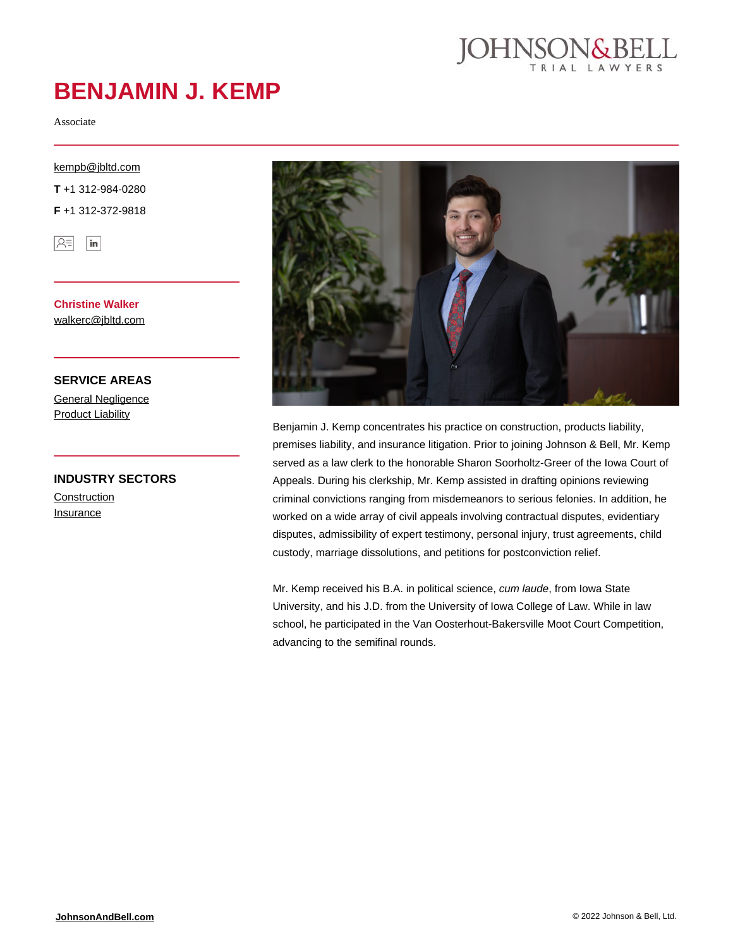

# **BENJAMIN J. KEMP**

Associate

#### [kempb@jbltd.com](mailto:kempb@jbltd.com)

**T** +1 312-984-0280

**F** +1 312-372-9818



**Christine Walker** [walkerc@jbltd.com](mailto:walkerc@jbltd.com)

**SERVICE AREAS** [General Negligence](https://johnsonandbell.com/capability/general-negligence/) **[Product Liability](https://johnsonandbell.com/capability/product-liability/)** 

### **INDUSTRY SECTORS**

**[Construction](https://johnsonandbell.com/capability/construction/) [Insurance](https://johnsonandbell.com/capability/insurance/)** 



Benjamin J. Kemp concentrates his practice on construction, products liability, premises liability, and insurance litigation. Prior to joining Johnson & Bell, Mr. Kemp served as a law clerk to the honorable Sharon Soorholtz-Greer of the Iowa Court of Appeals. During his clerkship, Mr. Kemp assisted in drafting opinions reviewing criminal convictions ranging from misdemeanors to serious felonies. In addition, he worked on a wide array of civil appeals involving contractual disputes, evidentiary disputes, admissibility of expert testimony, personal injury, trust agreements, child custody, marriage dissolutions, and petitions for postconviction relief.

Mr. Kemp received his B.A. in political science, cum laude, from Iowa State University, and his J.D. from the University of Iowa College of Law. While in law school, he participated in the Van Oosterhout-Bakersville Moot Court Competition, advancing to the semifinal rounds.